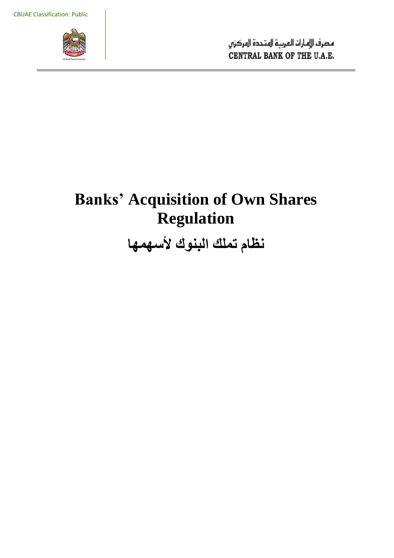

مصرف الإمارات العربية المتحدة المركزي CENTRAL BANK OF THE U.A.E.

# **Banks' Acquisition of Own Shares Regulation**

**نظام تملك البنوك ألسهمها**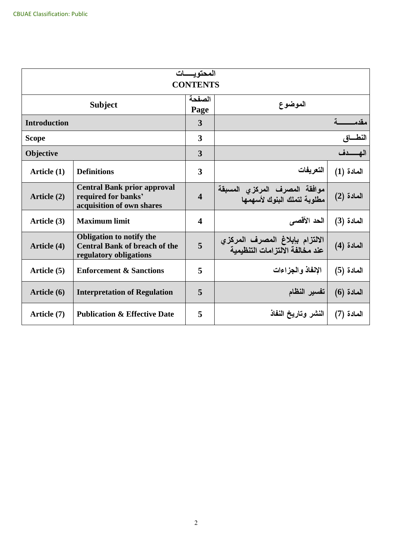| المحتو يسسات<br><b>CONTENTS</b> |                                                                                                   |                         |                                                                    |              |  |  |
|---------------------------------|---------------------------------------------------------------------------------------------------|-------------------------|--------------------------------------------------------------------|--------------|--|--|
| <b>Subject</b>                  |                                                                                                   | الصفحة<br>Page          | الموضوع                                                            |              |  |  |
| <b>Introduction</b>             |                                                                                                   | 3                       |                                                                    | مقدم         |  |  |
| <b>Scope</b>                    |                                                                                                   | 3                       |                                                                    | النطـــاق    |  |  |
| <b>Objective</b>                |                                                                                                   | 3                       |                                                                    |              |  |  |
| Article (1)                     | <b>Definitions</b>                                                                                | 3                       | التعريفات                                                          | $(1)$ المادة |  |  |
| Article (2)                     | <b>Central Bank prior approval</b><br>required for banks'<br>acquisition of own shares            | $\overline{\mathbf{4}}$ | موافقة المصرف المركزي المسبقة<br>مطلوبة لتملك البنوك لأسهمها       | $(2)$ المادة |  |  |
| Article (3)                     | <b>Maximum limit</b>                                                                              | $\overline{\mathbf{4}}$ | الحد الأقصى                                                        | المادة (3)   |  |  |
| Article (4)                     | <b>Obligation to notify the</b><br><b>Central Bank of breach of the</b><br>regulatory obligations | 5                       | الالتزام بإبلاغ المصرف المركزي<br>عند مخالفة الآلتز امات التنظيمية | المادة (4)   |  |  |
| Article (5)                     | <b>Enforcement &amp; Sanctions</b>                                                                | 5                       | الإنفاذ والجزاءات                                                  | المادة (5)   |  |  |
| Article (6)                     | <b>Interpretation of Regulation</b>                                                               | 5                       | تفسير النظام                                                       | $(6)$ المادة |  |  |
| Article (7)                     | <b>Publication &amp; Effective Date</b>                                                           | 5                       | النشر وتاريخ النفاذ                                                | المادة (7)   |  |  |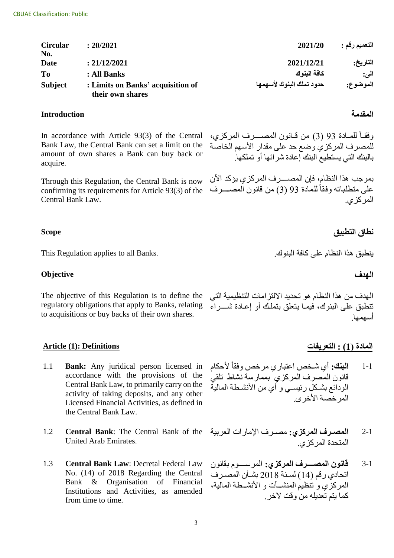| <b>Circular</b> | : 20/2021                                             | 2021/20                  | التعميم رقم : |
|-----------------|-------------------------------------------------------|--------------------------|---------------|
| No.             |                                                       |                          |               |
| Date            | : 21/12/2021                                          | 2021/12/21               | التاريخ:      |
| <b>To</b>       | : All Banks                                           | كافة البنوك              | اني:          |
| <b>Subject</b>  | : Limits on Banks' acquisition of<br>their own shares | حدود تملك البنوك لأسهمها | الموضوع:      |

# **المقدمة Introduction**

In accordance with Article 93(3) of the Central Bank Law, the Central Bank can set a limit on the amount of own shares a Bank can buy back or acquire.

Through this Regulation, the Central Bank is now confirming its requirements for Article 93(3) of the Central Bank Law.

This Regulation applies to all Banks .ينطبقمهذصمصانظلممعدىمكلفةمصابناك .

# **الهدف Objective**

The objective of this Regulation is to define the regulatory obligations that apply to Banks, relating to acquisitions or buy backs of their own shares.

### **المادة )1( : التعريفات Definitions :)1 (Article**

- **Bank:** Any juridical person licensed in accordance with the provisions of the Central Bank Law, to primarily carry on the activity of taking deposits, and any other Licensed Financial Activities, as defined in the Central Bank Law. 1.1
- **Central Bank**: The Central Bank of the United Arab Emirates. 1.2
- **Central Bank Law**: Decretal Federal Law No. (14) of 2018 Regarding the Central Bank & Organisation of Financial Institutions and Activities, as amended from time to time. 1.3

وفقــأ للمــادة 93 (3) من قــانون المصـــــرف المركزي، للمصرف المركزي وضع حد على مقدار الأسهم الخاصة بالبنك التي يستطيع البنك إعادة شرائها أو تملكها.

بموجب هذا النظام، فإن المصـــــرف المركزي يؤكد الآن على متطلباته وفقاً للمادة 93 (3) من قانون المصــــرف المر كز *ي.* 

# **نطاق التطبيق Scope**

الهدف من هذا النظام هو تحديد الالتزامات التنظيمية التي تنطبق على البنوك، فيمـا بنعلق بتملك أو إعـادة شــــراء أسهمها.

- 1-1 ا**لبنك:** أي شخص اعتباري مرخص وفقاً لأحكام قانون المصرف المركزي بممارسة نشاط تلقي الودائع بشكل رئيسي و أي من الأنشطة المالية المر خصة الأخر ي
- 2-1 **المصرف المركزي:** مصـرف الإمارات العربية المتحدة المركزي.
- 3-1 **قانون المصرررررررف المركزي:** صاة ساااااااممبقل الم اتحادي رقم (14) لسنة 2018 بشان المصر ف المركزي و تنظيم المنشـــات و الأنشــطة المالية، كما بتم تعديله من وقت لآخر .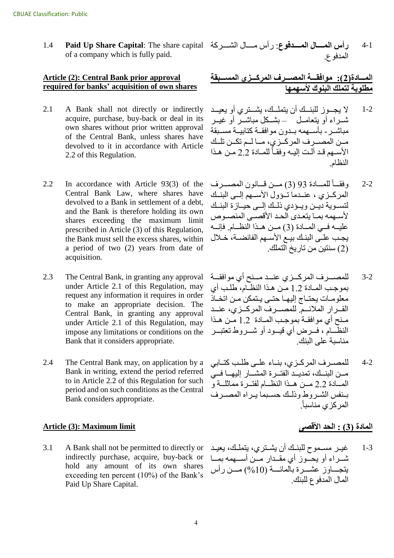**Paid Up Share Capital**: The share capital of a company which is fully paid. 1.4

### **Article (2): Central Bank prior approval required for banks' acquisition of own shares**

- A Bank shall not directly or indirectly acquire, purchase, buy-back or deal in its own shares without prior written approval of the Central Bank, unless shares have devolved to it in accordance with Article 2.2 of this Regulation. 2.1
- In accordance with Article 93(3) of the Central Bank Law, where shares have devolved to a Bank in settlement of a debt, and the Bank is therefore holding its own shares exceeding the maximum limit prescribed in Article (3) of this Regulation, the Bank must sell the excess shares, within a period of two (2) years from date of acquisition. 2.2
- The Central Bank, in granting any approval under Article 2.1 of this Regulation, may request any information it requires in order to make an appropriate decision. The Central Bank, in granting any approval under Article 2.1 of this Regulation, may impose any limitations or conditions on the Bank that it considers appropriate. 2.3
- The Central Bank may, on application by a Bank in writing, extend the period referred to in Article 2.2 of this Regulation for such period and on such conditions as the Central Bank considers appropriate. 2.4

# **المادة )3( : الحد األقصى limit Maximum :)3 (Article**

A Bank shall not be permitted to directly or indirectly purchase, acquire, buy-back or hold any amount of its own shares exceeding ten percent (10%) of the Bank's Paid Up Share Capital. 3.1

4-1 **رأس المسال المسدفوع**: رأس مسال الشسركة المدفو ع.

# المسادة(2): موافقــة المصـــرف المركـــز*ي* المســبقة مطلوبة لتملك البنوك لأسهمها

- 1-2 الا يجــوز للبنــك أن يتملــك، يشــترى أو يعيــد شير اء أو بتعاميل – بشيكل مباشير أو غبير مباشير - بأسيهمه بيدون مو افقية كتابيية مسيقة مـن المصــر ف المركــز ي، مــالــم تكــن تلــك الأسبهم قد آلت إليه وفقـاً للمبادة 2.2 مـن هـذا النظام.
- 2-2 وفقــأ للمــادة 93 (3) مــن قــانون المصـــرف المركيزي ، عنىدما تسؤول الأسيهم السي البنيك لتسوية ديـن ويـؤدى ذلـك إلـى حيــاز ة البنــك لأسبهمه بمبا بتعدى الحد الأقصبي المنصبوص عليه في المبادة (3) من هذا النظام. فإنه يجب علـّى البنـك بيـع الأسـهم الفائضــة، خـلال (2) سنتين من تاريخ التملك.
- 3-2 للمصـــرف المركـــزي عنـــد مـــنح أي موافقـــة بموجب المصادة 1.2 من هذا النظام، طلب أي معلومـات يحتـاج إليهـا حتـى يـتمكن مـن اتخـاذ القــرار الملائــم. للمصـــرف المركــزي، عنــد منح أي موافقة بموجب الملدة 1.2 من هذا النظام ، فسرض أي قيسود أو شسروط تعتبس مناسبة على البنك
- 4-2 المصـرف المركـزي، بنــاء علــى طلـب كتــابي مــن البنسك، تمديسد الفتــر ة المشـــار اليهــا فـــى المسادة 2.2 مــن هــذا النظــام لفتــر ة مماثلــة و بنفس الشروط وذلك حسبما براه المصرف المركز*ي* مناسباً.

1-3 يا غيـر مسـموح للبنـك أن يشـتر ي، يتملـك، يعيـد شــراء أو يحــوز أي مقــدار مـــن أســـهمه بمـــا يتجــاوز عشـــرة بالمائـــة (10%) مـــن رأس المال المدفو ع للبنك.